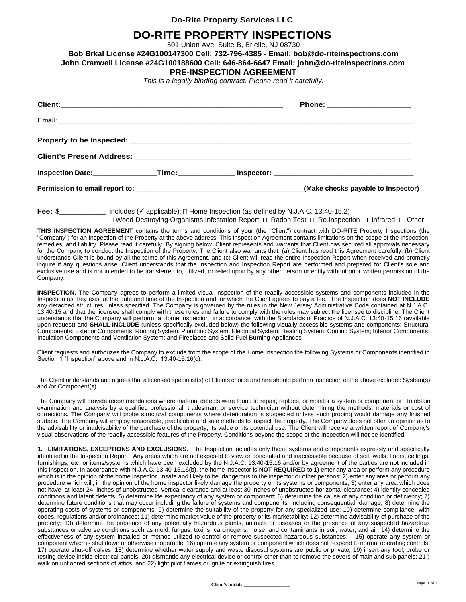## **Do-Rite Property Services LLC**

## **DO-RITE PROPERTY INSPECTIONS**

501 Union Ave, Suite B, Brielle, NJ 08730

**Bob Brkal License #24G100147300 Cell: 732-796-4385 - Email: bob@do-riteinspections.com**

**John Cranwell License #24G100188600 Cell: 646-864-6647 Email: john@do-riteinspections.com**

## **PRE-INSPECTION AGREEMENT**

*This is a legally binding contract. Please read it carefully.*

|  | Phone: ______________________      |
|--|------------------------------------|
|  |                                    |
|  |                                    |
|  |                                    |
|  |                                    |
|  | (Make checks payable to Inspector) |

**Fee:** \$\_\_\_\_\_\_\_\_\_\_\_ includes (✓ applicable): Home Inspection (as defined by N.J.A.C. 13:40-15.2) □ Wood Destroying Organisms Infestation Report □ Radon Test □ Re-inspection □ Infrared □ Other

**THIS INSPECTION AGREEMENT** contains the terms and conditions of your (the "Client") contract with DO-RITE Property Inspections (the "Company") for an Inspection of the Property at the above address. This Inspection Agreement contains limitations on the scope of the Inspection, remedies, and liability. Please read it carefully. By signing below, Client represents and warrants that Client has secured all approvals necessary for the Company to conduct the Inspection of the Property. The Client also warrants that: (a) Client has read this Agreement carefully, (b) Client understands Client is bound by all the terms of this Agreement, and (c) Client will read the entire Inspection Report when received and promptly inquire if any questions arise. Client understands that the Inspection and Inspection Report are performed and prepared for Client's sole and exclusive use and is not intended to be transferred to, utilized, or relied upon by any other person or entity without prior written permission of the Company.

**INSPECTION.** The Company agrees to perform a limited visual inspection of the readily accessible systems and components included in the Inspection as they exist at the date and time of the Inspection and for which the Client agrees to pay a fee. The Inspection does **NOT INCLUDE**  any detached structures unless specified. The Company is governed by the rules in the New Jersey Administrative Code contained at N.J.A.C. 13:40-15 and that the licensee shall comply with these rules and failure to comply with the rules may subject the licensee to discipline. The Client understands that the Company will perform a Home Inspection in accordance with the Standards of Practice of N.J.A.C. 13:40-15.16 (available upon request) and **SHALL INCLUDE** (unless specifically excluded below) the following visually accessible systems and components: Structural Components; Exterior Components; Roofing System; Plumbing System; Electrical System; Heating System; Cooling System; Interior Components; Insulation Components and Ventilation System; and Fireplaces and Solid Fuel Burning Appliances

Client requests and authorizes the Company to exclude from the scope of the Home Inspection the following Systems or Components identified in Section 1 "Inspection" above and in N.J.A.C. 13:40-15.16(c):

The Client understands and agrees that a licensed specialist(s) of Clients choice and hire should perform inspection of the above excluded System(s) and /or Component(s)

The Company will provide recommendations where material defects were found to repair, replace, or monitor a system or component or to obtain examination and analysis by a qualified professional, tradesman, or service technician without determining the methods, materials or cost of corrections. The Company will probe structural components where deterioration is suspected unless such probing would damage any finished surface. The Company will employ reasonable, practicable and safe methods to inspect the property. The Company does not offer an opinion as to the advisability or inadvisability of the purchase of the property, its value or its potential use. The Client will receive a written report of Company's visual observations of the readily accessible features of the Property. Conditions beyond the scope of the Inspection will not be identified.

**1. LIMITATIONS, EXCEPTIONS AND EXCLUSIONS.** The Inspection includes only those systems and components expressly and specifically identified in the Inspection Report. Any areas which are not exposed to view or concealed and inaccessible because of soil, walls, floors, ceilings, furnishings, etc. or items/systems which have been excluded by the N.J.A.C. 13:40-15.16 and/or by agreement of the parties are not included in this Inspection. In accordance with N.J.A.C. 13:40-15.16(b), the home inspector is **NOT REQUIRED** to 1) enter any area or perform any procedure which is in the opinion of the home inspector unsafe and likely to be dangerous to the inspector or other persons; 2) enter any area or perform any procedure which will, in the opinion of the home inspector likely damage the property or its systems or components; 3) enter any area which does not have at least 24 inches of unobstructed vertical clearance and at least 30 inches of unobstructed horizontal clearance; 4) identify concealed conditions and latent defects; 5) determine life expectancy of any system or component; 6) determine the cause of any condition or deficiency; 7) determine future conditions that may occur including the failure of systems and components including consequential damage; 8) determine the operating costs of systems or components; 9) determine the suitability of the property for any specialized use; 10) determine compliance with codes, regulations and/or ordinances; 11) determine market value of the property or its marketability; 12) determine advisability of purchase of the property; 13) determine the presence of any potentially hazardous plants, animals or diseases or the presence of any suspected hazardous substances or adverse conditions such as mold, fungus, toxins, carcinogens, noise, and contaminants in soil, water, and air; 14) determine the effectiveness of any system installed or method utilized to control or remove suspected hazardous substances; 15) operate any system or component which is shut down or otherwise inoperable; 16) operate any system or component which does not respond to normal operating controls; 17) operate shut-off valves; 18) determine whether water supply and waste disposal systems are public or private; 19) insert any tool, probe or testing device inside electrical panels; 20) dismantle any electrical device or control other than to remove the covers of main and sub panels; 21 ) walk on unfloored sections of attics; and 22) light pilot flames or ignite or extinguish fires.